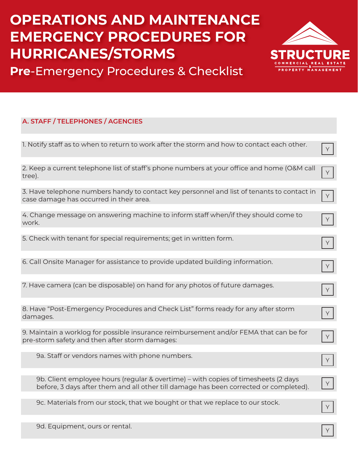

**Pre**-Emergency Procedures & Checklist

| A. STAFF / TELEPHONES / AGENCIES                                                                                                      |
|---------------------------------------------------------------------------------------------------------------------------------------|
|                                                                                                                                       |
| 1. Notify staff as to when to return to work after the storm and how to contact each other.                                           |
|                                                                                                                                       |
| 2. Keep a current telephone list of staff's phone numbers at your office and home (O&M call<br>tree).                                 |
|                                                                                                                                       |
| 3. Have telephone numbers handy to contact key personnel and list of tenants to contact in<br>case damage has occurred in their area. |
|                                                                                                                                       |
| 4. Change message on answering machine to inform staff when/if they should come to<br>work.                                           |
|                                                                                                                                       |
| 5. Check with tenant for special requirements; get in written form.                                                                   |
|                                                                                                                                       |
| 6. Call Onsite Manager for assistance to provide updated building information.                                                        |
|                                                                                                                                       |
| 7. Have camera (can be disposable) on hand for any photos of future damages.                                                          |
|                                                                                                                                       |
| 8. Have "Post-Emergency Procedures and Check List" forms ready for any after storm<br>damages.                                        |

9. Maintain a worklog for possible insurance reimbursement and/or FEMA that can be for pre-storm safety and then after storm damages:

9a. Staff or vendors names with phone numbers.

9b. Client employee hours (regular & overtime) – with copies of timesheets (2 days before, 3 days after them and all other till damage has been corrected or completed).

9c. Materials from our stock, that we bought or that we replace to our stock.

9d. Equipment, ours or rental.

Y Y

Y

Y

Y

Y

Y

Y

Y

Y Y

Y

Y

Y<br>Y<br>Y

Y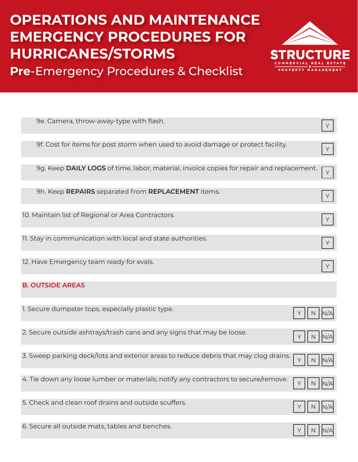



| 9e. Camera, throw-away-type with flash.                                                  |   |
|------------------------------------------------------------------------------------------|---|
| 9f. Cost for items for post storm when used to avoid damage or protect facility.         | Υ |
| 9g. Keep DAILY LOGS of time, labor, material, invoice copies for repair and replacement. | Y |
| 9h. Keep REPAIRS separated from REPLACEMENT items.                                       |   |
| 10. Maintain list of Regional or Area Contractors.                                       | Y |
| 11. Stay in communication with local and state authorities.                              | Y |
| 12. Have Emergency team ready for evals.                                                 |   |
|                                                                                          |   |
| <b>B. OUTSIDE AREAS</b>                                                                  |   |
| 1. Secure dumpster tops, especially plastic type.                                        |   |
| 2. Secure outside ashtrays/trash cans and any signs that may be loose.                   |   |
| 3. Sweep parking deck/lots and exterior areas to reduce debris that may clog drains.     |   |
| 4. Tie down any loose lumber or materials; notify any contractors to secure/remove.      |   |
| 5. Check and clean roof drains and outside scuffers.                                     |   |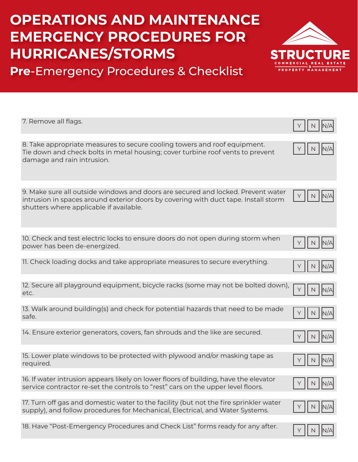

**Pre**-Emergency Procedures & Checklist

| 7. Remove all flags.                                                                                                                                                                                               |  |
|--------------------------------------------------------------------------------------------------------------------------------------------------------------------------------------------------------------------|--|
| 8. Take appropriate measures to secure cooling towers and roof equipment.<br>Tie down and check bolts in metal housing; cover turbine roof vents to prevent<br>damage and rain intrusion.                          |  |
| 9. Make sure all outside windows and doors are secured and locked. Prevent water<br>intrusion in spaces around exterior doors by covering with duct tape. Install storm<br>shutters where applicable if available. |  |
| 10. Check and test electric locks to ensure doors do not open during storm when<br>power has been de-energized.                                                                                                    |  |
| 11. Check loading docks and take appropriate measures to secure everything.                                                                                                                                        |  |
| 12. Secure all playground equipment, bicycle racks (some may not be bolted down),<br>etc.                                                                                                                          |  |
| 13. Walk around building(s) and check for potential hazards that need to be made<br>safe.                                                                                                                          |  |
| 14. Ensure exterior generators, covers, fan shrouds and the like are secured.                                                                                                                                      |  |
| 15. Lower plate windows to be protected with plywood and/or masking tape as<br>required.                                                                                                                           |  |
| 16. If water intrusion appears likely on lower floors of building, have the elevator<br>service contractor re-set the controls to "rest" cars on the upper level floors.                                           |  |
| 17. Turn off gas and domestic water to the facility (but not the fire sprinkler water<br>supply), and follow procedures for Mechanical, Electrical, and Water Systems.                                             |  |
| 18. Have "Post-Emergency Procedures and Check List" forms ready for any after.                                                                                                                                     |  |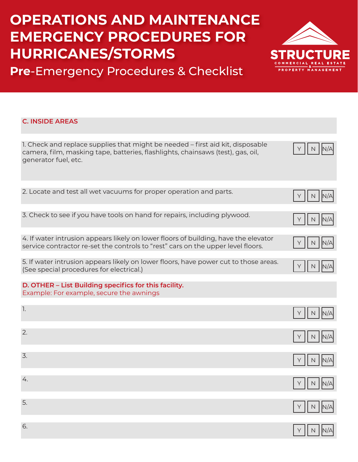

**Pre**-Emergency Procedures & Checklist

#### **C. INSIDE AREAS**

| 1. Check and replace supplies that might be needed - first aid kit, disposable<br>camera, film, masking tape, batteries, flashlights, chainsaws (test), gas, oil,<br>generator fuel, etc. |              |
|-------------------------------------------------------------------------------------------------------------------------------------------------------------------------------------------|--------------|
| 2. Locate and test all wet vacuums for proper operation and parts.                                                                                                                        | N            |
| 3. Check to see if you have tools on hand for repairs, including plywood.                                                                                                                 |              |
| 4. If water intrusion appears likely on lower floors of building, have the elevator<br>service contractor re-set the controls to "rest" cars on the upper level floors.                   |              |
| 5. If water intrusion appears likely on lower floors, have power cut to those areas.<br>(See special procedures for electrical.)                                                          |              |
| D. OTHER - List Building specifics for this facility.<br>Example: For example, secure the awnings                                                                                         |              |
| $\mathbb{I}.$                                                                                                                                                                             |              |
| 2.                                                                                                                                                                                        |              |
| 3.                                                                                                                                                                                        | N            |
| 4.                                                                                                                                                                                        |              |
| 5.                                                                                                                                                                                        |              |
| 6.                                                                                                                                                                                        | Y    N   N/A |